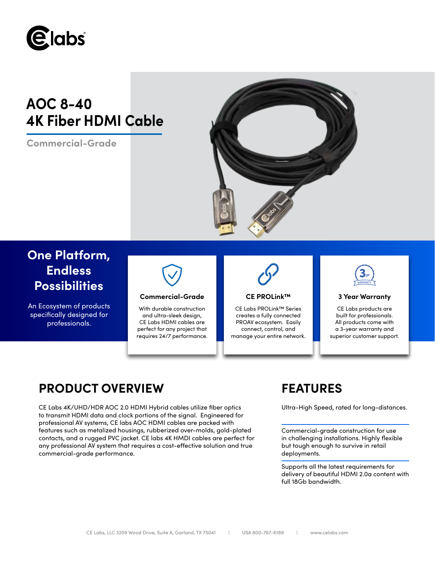

**AOC 8-40 4K Fiber HDMI Cable**

**Commercial-Grade**



# **One Platform, Endless Possibilities**

An Ecosystem of products specifically designed for professionals.



# **Commercial-Grade 3 Year Warranty**

With durable construction and ultra-sleek design, CE Labs HDMI cables are perfect for any project that requires 24/7 performance.



# **CE PROLink™**

CE Labs PROLink™ Series creates a fully connected PROAV ecosystem. Easily connect, control, and manage your entire network.



CE Labs products are built for professionals. All products come with a 3-year warranty and superior customer support.

# **PRODUCT OVERVIEW FEATURES**

CE Labs 4K/UHD/HDR AOC 2.0 HDMI Hybrid cables utilize fiber optics Ultra-High Speed, rated for long-distances. to transmit HDMI data and clock portions of the signal. Engineered for professional AV systems, CE labs AOC HDMI cables are packed with features such as metalized housings, rubberized over-molds, gold-plated contacts, and a rugged PVC jacket. CE labs 4K HMDI cables are perfect for any professional AV system that requires a cost-effective solution and true commercial-grade performance.

Commercial-grade construction for use in challenging installations. Highly flexible but tough enough to survive in retail deployments.

Supports all the latest requirements for delivery of beautiful HDMI 2.0a content with full 18Gb bandwidth.